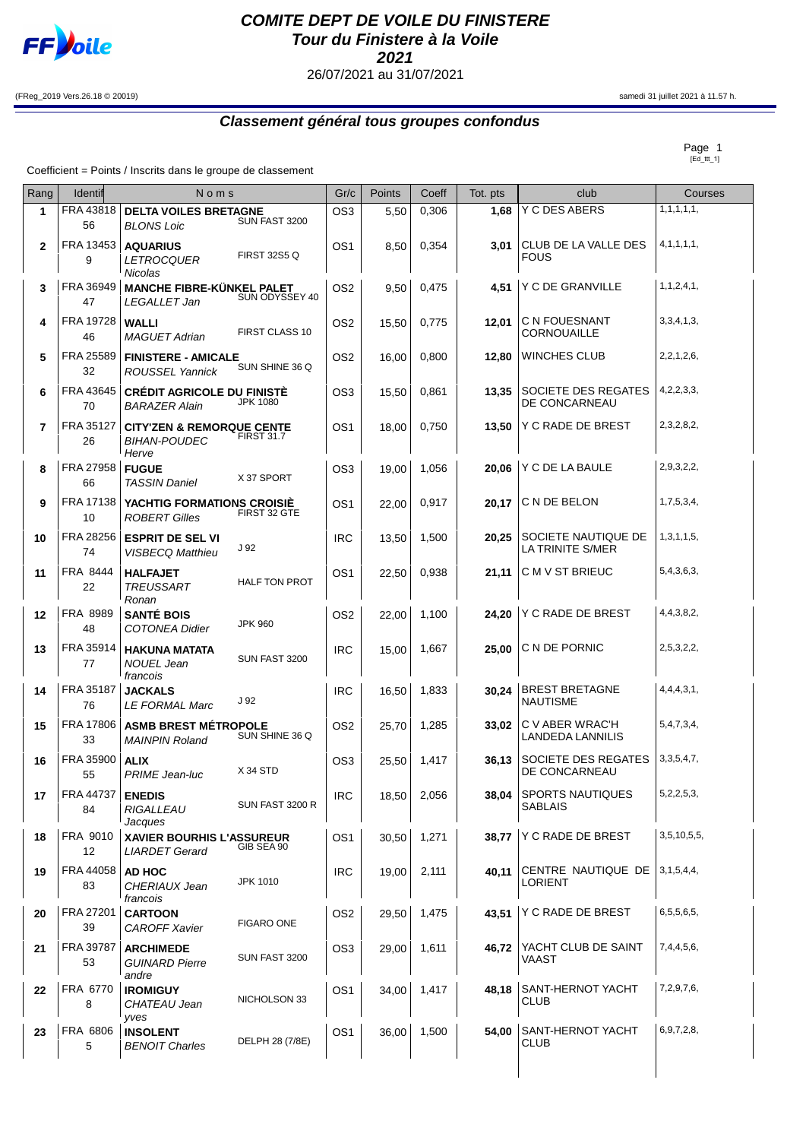

## **COMITE DEPT DE VOILE DU FINISTERE Tour du Finistere à la Voile 2021**

26/07/2021 au 31/07/2021

(FReg\_2019 Vers.26.18 © 20019) samedi 31 juillet 2021 à 11.57 h.

## **Classement général tous groupes confondus**

 $Page 1$ 

Coefficient = Points / Inscrits dans le groupe de classement

| Rang | <b>Identif</b>                | Noms                                                                                    |                      |                 | Points | Coeff | Tot. pts | club                                       | Courses           |
|------|-------------------------------|-----------------------------------------------------------------------------------------|----------------------|-----------------|--------|-------|----------|--------------------------------------------|-------------------|
| 1    | FRA 43818<br>56               | <b>DELTA VOILES BRETAGNE</b><br><b>BLONS Loic</b>                                       | SUN FAST 3200        | OS <sub>3</sub> | 5,50   | 0,306 | 1,68     | Y C DES ABERS                              | 1, 1, 1, 1, 1, 1, |
| 2    | FRA 13453<br>9                | <b>AQUARIUS</b><br><b>LETROCQUER</b><br><b>Nicolas</b>                                  | <b>FIRST 32S5 Q</b>  | OS <sub>1</sub> | 8,50   | 0,354 | 3,01     | CLUB DE LA VALLE DES<br><b>FOUS</b>        | 4, 1, 1, 1, 1,    |
| 3    | FRA 36949<br>47               | <b>MANCHE FIBRE-KÜNKEL PALET</b><br>LEGALLET Jan                                        | SUN ODYSSEY 40       | OS <sub>2</sub> | 9,50   | 0,475 | 4,51     | Y C DE GRANVILLE                           | 1, 1, 2, 4, 1,    |
| 4    | FRA 19728<br>46               | <b>WALLI</b><br><b>MAGUET Adrian</b>                                                    | FIRST CLASS 10       | OS <sub>2</sub> | 15,50  | 0,775 | 12,01    | C N FOUESNANT<br>CORNOUAILLE               | 3,3,4,1,3,        |
| 5    | FRA 25589<br>32               | <b>FINISTERE - AMICALE</b><br><b>ROUSSEL Yannick</b>                                    | SUN SHINE 36 Q       | OS <sub>2</sub> | 16,00  | 0,800 | 12,80    | <b>WINCHES CLUB</b>                        | 2, 2, 1, 2, 6,    |
| 6    | FRA 43645<br>70               | <b>CRÉDIT AGRICOLE DU FINISTÉ</b><br><b>BARAZER Alain</b>                               | <b>JPK 1080</b>      | OS <sub>3</sub> | 15,50  | 0,861 | 13,35    | SOCIETE DES REGATES<br>DE CONCARNEAU       | 4,2,2,3,3,        |
| 7    | FRA 35127<br>26               | <b>CITY'ZEN &amp; REMORQUE CENTE</b><br><b>BIHAN-POUDEC</b><br>Herve                    | <b>FIRST 31.7</b>    | OS <sub>1</sub> | 18,00  | 0,750 | 13,50    | Y C RADE DE BREST                          | 2,3,2,8,2,        |
| 8    | FRA 27958<br>66               | <b>FUGUE</b><br><b>TASSIN Daniel</b>                                                    | X 37 SPORT           | OS3             | 19.00  | 1,056 | 20.06    | Y C DE LA BAULE                            | 2,9,3,2,2,        |
| 9    | FRA 17138<br>10               | <b>YACHTIG FORMATIONS CROISIE</b><br>POPERT Cilles FIRST 32 GTE<br><b>ROBERT Gilles</b> |                      | OS <sub>1</sub> | 22,00  | 0,917 | 20,17    | C N DE BELON                               | 1,7,5,3,4,        |
| 10   | FRA 28256<br>74               | <b>ESPRIT DE SEL VI</b><br><b>VISBECQ Matthieu</b>                                      | J <sub>92</sub>      | <b>IRC</b>      | 13,50  | 1,500 | 20,25    | SOCIETE NAUTIQUE DE<br>LA TRINITE S/MER    | 1,3,1,1,5,        |
| 11   | FRA 8444<br>22                | <b>HALFAJET</b><br><b>TREUSSART</b><br>Ronan                                            | <b>HALF TON PROT</b> | OS <sub>1</sub> | 22,50  | 0,938 | 21,11    | C M V ST BRIEUC                            | 5,4,3,6,3,        |
| 12   | FRA 8989<br>48                | <b>SANTÉ BOIS</b><br><b>COTONEA Didier</b>                                              | <b>JPK 960</b>       | OS <sub>2</sub> | 22,00  | 1,100 | 24.20    | Y C RADE DE BREST                          | 4, 4, 3, 8, 2,    |
| 13   | FRA 35914<br>77               | <b>HAKUNA MATATA</b><br><b>NOUEL Jean</b><br>francois                                   | SUN FAST 3200        | <b>IRC</b>      | 15,00  | 1,667 | 25,00    | C N DE PORNIC                              | 2,5,3,2,2,        |
| 14   | FRA 35187<br>76               | <b>JACKALS</b><br><b>LE FORMAL Marc</b>                                                 | J 92                 | <b>IRC</b>      | 16,50  | 1,833 | 30,24    | <b>BREST BRETAGNE</b><br><b>NAUTISME</b>   | 4,4,4,3,1,        |
| 15   | FRA 17806<br>33               | <b>ASMB BREST MÉTROPOLE</b><br><b>MAINPIN Roland</b>                                    | SUN SHINE 36 Q       | OS <sub>2</sub> | 25,70  | 1,285 | 33,02    | C V ABER WRAC'H<br>LANDEDA LANNILIS        | 5,4,7,3,4,        |
| 16   | FRA 35900<br>55               | <b>ALIX</b><br><b>PRIME Jean-luc</b>                                                    | <b>X34 STD</b>       | OS <sub>3</sub> | 25,50  | 1,417 | 36,13    | SOCIETE DES REGATES<br>DE CONCARNEAU       | 3,3,5,4,7,        |
| 17   | FRA 44737<br>84               | <b>ENEDIS</b><br><b>RIGALLEAU</b><br>Jacques                                            | SUN FAST 3200 R      | <b>IRC</b>      | 18,50  | 2,056 | 38,04    | <b>SPORTS NAUTIQUES</b><br><b>SABLAIS</b>  | 5,2,2,5,3,        |
| 18   | FRA 9010<br>$12 \overline{ }$ | <b>XAVIER BOURHIS L'ASSUREUR</b><br><b>LIARDET Gerard</b>                               | GIB SEA 90           | OS <sub>1</sub> | 30,50  | 1,271 | 38,77    | Y C RADE DE BREST                          | 3,5,10,5,5,       |
| 19   | FRA 44058<br>83               | <b>AD HOC</b><br>CHERIAUX Jean<br>francois                                              | <b>JPK 1010</b>      | <b>IRC</b>      | 19,00  | 2,111 | 40,11    | CENTRE NAUTIQUE DE   3,1,5,4,4,<br>LORIENT |                   |
| 20   | FRA 27201<br>39               | <b>CARTOON</b><br><b>CAROFF Xavier</b>                                                  | FIGARO ONE           | OS <sub>2</sub> | 29,50  | 1,475 | 43,51    | Y C RADE DE BREST                          | 6,5,5,6,5,        |
| 21   | FRA 39787<br>53               | <b>ARCHIMEDE</b><br><b>GUINARD Pierre</b><br>andre                                      | SUN FAST 3200        | OS <sub>3</sub> | 29,00  | 1,611 | 46,72    | YACHT CLUB DE SAINT<br>VAAST               | 7,4,4,5,6,        |
| 22   | FRA 6770<br>8                 | <b>IROMIGUY</b><br>CHATEAU Jean<br>yves                                                 | NICHOLSON 33         | OS1             | 34,00  | 1,417 | 48,18    | SANT-HERNOT YACHT<br>CLUB                  | 7,2,9,7,6,        |
| 23   | FRA 6806<br>5                 | <b>INSOLENT</b><br><b>BENOIT Charles</b>                                                | DELPH 28 (7/8E)      | OS1             | 36,00  | 1,500 | 54,00    | SANT-HERNOT YACHT<br>CLUB                  | 6,9,7,2,8,        |
|      |                               |                                                                                         |                      |                 |        |       |          |                                            |                   |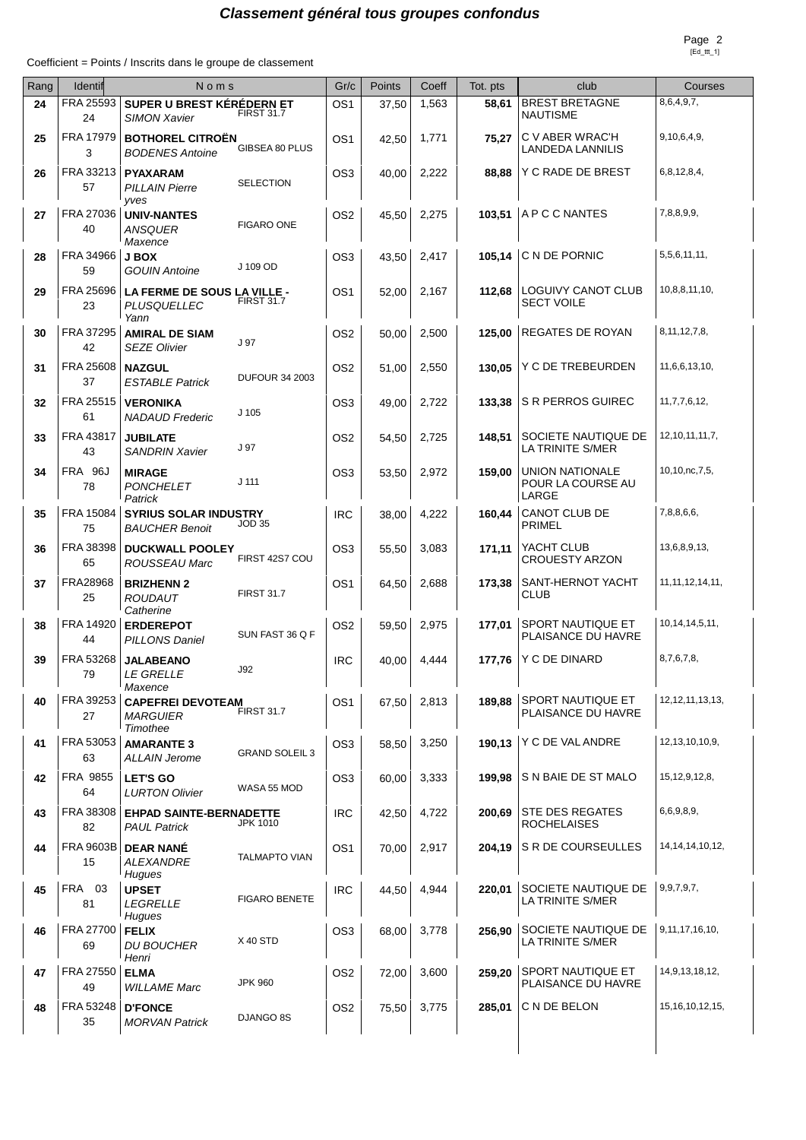## **Classement général tous groupes confondus**

Coefficient = Points / Inscrits dans le groupe de classement

| Rang | Identif                | Noms                                                    |                       | Gr/c            | Points | Coeff | Tot. pts | club                                          | Courses             |
|------|------------------------|---------------------------------------------------------|-----------------------|-----------------|--------|-------|----------|-----------------------------------------------|---------------------|
| 24   | FRA 25593<br>24        | SUPER U BREST KÉRÉDERN ET<br><b>SIMON Xavier</b>        | <b>FIRST 31.7</b>     | OS1             | 37,50  | 1,563 | 58,61    | <b>BREST BRETAGNE</b><br><b>NAUTISME</b>      | 8,6,4,9,7,          |
| 25   | FRA 17979<br>3         | <b>BOTHOREL CITROËN</b><br><b>BODENES Antoine</b>       | GIBSEA 80 PLUS        | OS1             | 42,50  | 1,771 | 75,27    | C V ABER WRAC'H<br><b>LANDEDA LANNILIS</b>    | 9,10,6,4,9,         |
| 26   | FRA 33213<br>57        | <b>PYAXARAM</b><br>PILLAIN Pierre<br>vves               | <b>SELECTION</b>      | OS3             | 40,00  | 2,222 | 88,88    | Y C RADE DE BREST                             | 6,8,12,8,4,         |
| 27   | FRA 27036<br>40        | <b>UNIV-NANTES</b><br><b>ANSQUER</b><br>Maxence         | <b>FIGARO ONE</b>     | OS <sub>2</sub> | 45,50  | 2,275 | 103.51   | A P C C NANTES                                | 7,8,8,9,9,          |
| 28   | FRA 34966<br>59        | <b>J BOX</b><br><b>GOUIN Antoine</b>                    | J 109 OD              | OS3             | 43,50  | 2,417 |          | 105,14   C N DE PORNIC                        | 5,5,6,11,11,        |
| 29   | FRA 25696<br>23        | LA FERME DE SOUS LA VILLE -<br>PLUSQUELLEC<br>Yann      | <b>FIRST 31.7</b>     | OS1             | 52,00  | 2,167 | 112,68   | LOGUIVY CANOT CLUB<br><b>SECT VOILE</b>       | 10,8,8,11,10,       |
| 30   | FRA 37295<br>42        | <b>AMIRAL DE SIAM</b><br><b>SEZE Olivier</b>            | J 97                  | OS2             | 50,00  | 2,500 | 125,00   | REGATES DE ROYAN                              | 8, 11, 12, 7, 8,    |
| 31   | FRA 25608<br>37        | <b>NAZGUL</b><br><b>ESTABLE Patrick</b>                 | <b>DUFOUR 34 2003</b> | OS2             | 51,00  | 2,550 | 130,05   | Y C DE TREBEURDEN                             | 11,6,6,13,10,       |
| 32   | FRA 25515<br>61        | <b>VERONIKA</b><br><b>NADAUD Frederic</b>               | J 105                 | OS3             | 49,00  | 2,722 | 133,38   | S R PERROS GUIREC                             | 11,7,7,6,12,        |
| 33   | FRA 43817<br>43        | <b>JUBILATE</b><br><b>SANDRIN Xavier</b>                | J 97                  | OS2             | 54,50  | 2,725 | 148,51   | SOCIETE NAUTIQUE DE<br>LA TRINITE S/MER       | 12, 10, 11, 11, 7,  |
| 34   | <b>FRA 96J</b><br>78   | <b>MIRAGE</b><br><b>PONCHELET</b><br>Patrick            | J 111                 | OS3             | 53,50  | 2,972 | 159,00   | UNION NATIONALE<br>POUR LA COURSE AU<br>LARGE | 10,10,nc,7,5,       |
| 35   | FRA 15084<br>75        | <b>SYRIUS SOLAR INDUSTRY</b><br><b>BAUCHER Benoit</b>   | JOD 35                | <b>IRC</b>      | 38,00  | 4,222 | 160,44   | CANOT CLUB DE<br><b>PRIMEL</b>                | 7,8,8,6,6,          |
| 36   | FRA 38398<br>65        | <b>DUCKWALL POOLEY</b><br>ROUSSEAU Marc                 | FIRST 42S7 COU        | OS3             | 55,50  | 3,083 | 171,11   | YACHT CLUB<br><b>CROUESTY ARZON</b>           | 13,6,8,9,13,        |
| 37   | FRA28968<br>25         | <b>BRIZHENN 2</b><br><b>ROUDAUT</b><br>Catherine        | <b>FIRST 31.7</b>     | OS1             | 64,50  | 2,688 | 173,38   | SANT-HERNOT YACHT<br>CLUB                     | 11, 11, 12, 14, 11, |
| 38   | FRA 14920<br>44        | <b>ERDEREPOT</b><br><b>PILLONS Daniel</b>               | SUN FAST 36 Q F       | OS <sub>2</sub> | 59,50  | 2,975 | 177,01   | SPORT NAUTIQUE ET<br>PLAISANCE DU HAVRE       | 10, 14, 14, 5, 11,  |
| 39   | FRA 53268<br>79        | <b>JALABEANO</b><br>LE GRELLE<br>Maxence                | J92                   | <b>IRC</b>      | 40,00  | 4,444 | 177,76   | Y C DE DINARD                                 | 8,7,6,7,8,          |
| 40   | FRA 39253<br>27        | <b>CAPEFREI DEVOTEAM</b><br><b>MARGUIER</b><br>Timothee | <b>FIRST 31.7</b>     | OS <sub>1</sub> | 67,50  | 2,813 | 189,88   | SPORT NAUTIQUE ET<br>PLAISANCE DU HAVRE       | 12, 12, 11, 13, 13, |
| 41   | FRA 53053<br>63        | <b>AMARANTE 3</b><br><b>ALLAIN Jerome</b>               | <b>GRAND SOLEIL 3</b> | OS <sub>3</sub> | 58,50  | 3,250 |          | 190,13 Y C DE VAL ANDRE                       | 12, 13, 10, 10, 9,  |
| 42   | <b>FRA 9855</b><br>64  | <b>LET'S GO</b><br><b>LURTON Olivier</b>                | WASA 55 MOD           | OS3             | 60,00  | 3,333 | 199.98   | S N BAIE DE ST MALO                           | 15, 12, 9, 12, 8,   |
| 43   | FRA 38308<br>82        | <b>EHPAD SAINTE-BERNADETTE</b><br><b>PAUL Patrick</b>   | JPK 1010              | <b>IRC</b>      | 42,50  | 4,722 | 200,69   | <b>STE DES REGATES</b><br><b>ROCHELAISES</b>  | 6,6,9,8,9,          |
| 44   | <b>FRA 9603B</b><br>15 | <b>DEAR NANÉ</b><br>ALEXANDRE<br>Hugues                 | <b>TALMAPTO VIAN</b>  | OS <sub>1</sub> | 70,00  | 2,917 | 204,19   | S R DE COURSEULLES                            | 14, 14, 14, 10, 12, |
| 45   | FRA 03<br>81           | <b>UPSET</b><br><b>LEGRELLE</b><br>Hugues               | <b>FIGARO BENETE</b>  | <b>IRC</b>      | 44,50  | 4,944 | 220,01   | SOCIETE NAUTIQUE DE<br>LA TRINITE S/MER       | 9, 9, 7, 9, 7,      |
| 46   | FRA 27700<br>69        | <b>FELIX</b><br><b>DU BOUCHER</b><br>Henri              | <b>X40 STD</b>        | OS3             | 68,00  | 3,778 | 256,90   | SOCIETE NAUTIQUE DE<br>LA TRINITE S/MER       | 9,11,17,16,10,      |
| 47   | FRA 27550<br>49        | <b>ELMA</b><br><b>WILLAME Marc</b>                      | <b>JPK 960</b>        | OS2             | 72,00  | 3,600 | 259,20   | SPORT NAUTIQUE ET<br>PLAISANCE DU HAVRE       | 14, 9, 13, 18, 12,  |
| 48   | FRA 53248<br>35        | <b>D'FONCE</b><br><b>MORVAN Patrick</b>                 | DJANGO 8S             | OS2             | 75,50  | 3,775 | 285,01   | C N DE BELON                                  | 15, 16, 10, 12, 15, |